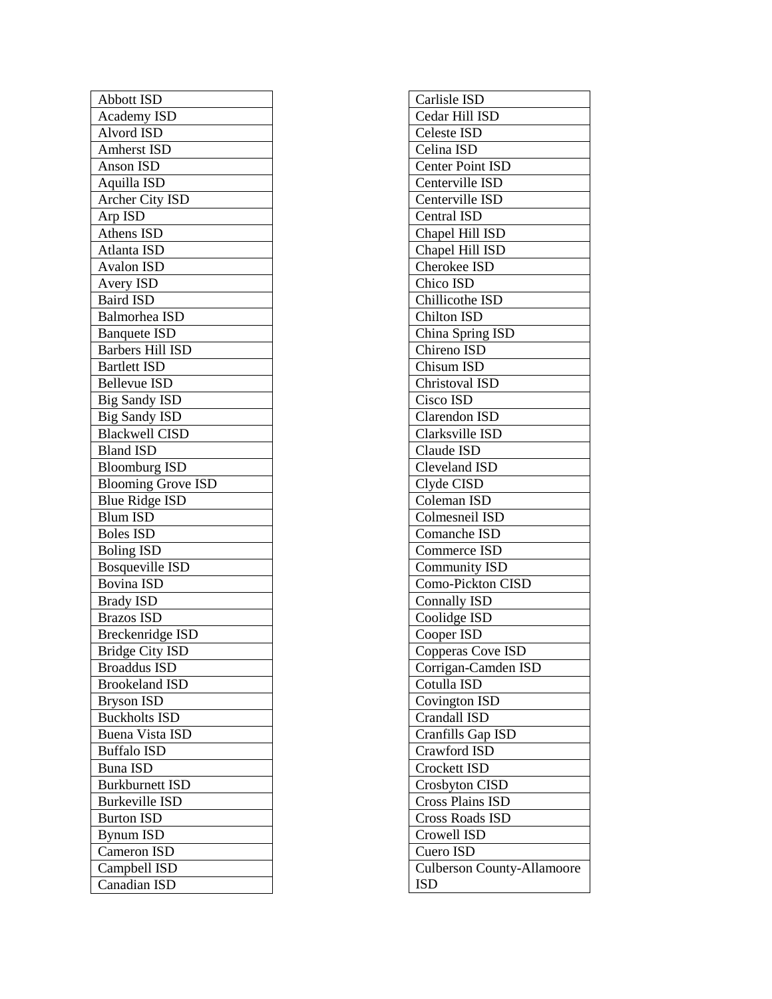| Abbott ISD                |
|---------------------------|
| <b>Academy ISD</b>        |
| Alvord ISD                |
| Amherst ISD               |
| Anson ISD                 |
| Aquilla ISD               |
| Archer City ISD           |
| Arp ISD                   |
| Athens ISD                |
| Atlanta ISD               |
| <b>Avalon ISD</b>         |
| Avery ISD                 |
| <b>Baird ISD</b>          |
| <b>Balmorhea ISD</b>      |
| <b>Banquete ISD</b>       |
| <b>Barbers Hill ISD</b>   |
| <b>Bartlett ISD</b>       |
| <b>Bellevue ISD</b>       |
| <b>Big Sandy ISD</b>      |
| <b>Big Sandy ISD</b>      |
| <b>Blackwell CISD</b>     |
| <b>Bland ISD</b>          |
| <b>Bloomburg ISD</b>      |
| <b>Blooming Grove ISD</b> |
| <b>Blue Ridge ISD</b>     |
| <b>Blum ISD</b>           |
| <b>Boles ISD</b>          |
| <b>Boling ISD</b>         |
| <b>Bosqueville ISD</b>    |
| <b>Bovina ISD</b>         |
| <b>Brady ISD</b>          |
| <b>Brazos ISD</b>         |
| <b>Breckenridge ISD</b>   |
| <b>Bridge City ISD</b>    |
| Broaddus ISD              |
| <b>Brookeland ISD</b>     |
| <b>Bryson ISD</b>         |
| <b>Buckholts ISD</b>      |
| <b>Buena Vista ISD</b>    |
| <b>Buffalo ISD</b>        |
| <b>Buna ISD</b>           |
| <b>Burkburnett ISD</b>    |
| <b>Burkeville ISD</b>     |
| <b>Burton ISD</b>         |
| <b>Bynum ISD</b>          |
| Cameron ISD               |
| Campbell ISD              |
| Canadian ISD              |
|                           |

| Carlisle ISD                      |
|-----------------------------------|
| Cedar Hill ISD                    |
| Celeste ISD                       |
| Celina ISD                        |
| Center Point ISD                  |
| Centerville ISD                   |
| Centerville ISD                   |
| Central ISD                       |
| Chapel Hill ISD                   |
| Chapel Hill ISD                   |
| <b>Cherokee ISD</b>               |
| Chico ISD                         |
| Chillicothe ISD                   |
| <b>Chilton ISD</b>                |
| China Spring ISD                  |
| Chireno ISD                       |
| <b>Chisum ISD</b>                 |
| <b>Christoval ISD</b>             |
| $\overline{\mathrm{C}}$ isco ISD  |
| <b>Clarendon ISD</b>              |
| Clarksville ISD                   |
| Claude ISD                        |
| Cleveland ISD                     |
| Clyde CISD                        |
| Coleman ISD                       |
| Colmesneil ISD                    |
| Comanche ISD                      |
| Commerce ISD                      |
| <b>Community ISD</b>              |
| Como-Pickton CISD                 |
| <b>Connally ISD</b>               |
| Coolidge ISD                      |
| Cooper ISD                        |
| Copperas Cove ISD                 |
| Corrigan-Camden ISD               |
| Cotulla ISD                       |
| <b>Covington ISD</b>              |
| Crandall ISD                      |
| Cranfills Gap ISD                 |
| Crawford ISD                      |
| <b>Crockett ISD</b>               |
| Crosbyton CISD                    |
| <b>Cross Plains ISD</b>           |
| Cross Roads ISD                   |
| Crowell ISD                       |
| Cuero ISD                         |
| <b>Culberson County-Allamoore</b> |
| <b>ISD</b>                        |
|                                   |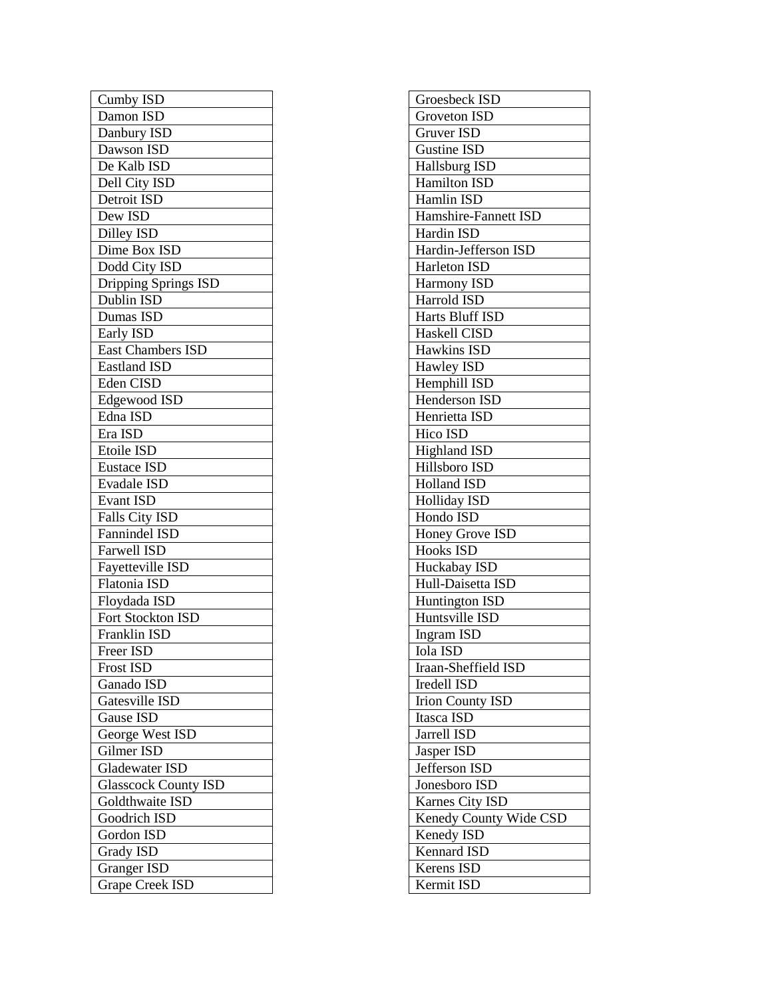| Cumby ISD                     |
|-------------------------------|
| Damon ISD                     |
| Danbury ISD                   |
| Dawson ISD                    |
| De Kalb ISD                   |
| Dell City ISD                 |
| Detroit ISD                   |
| Dew ISD                       |
| Dilley ISD                    |
| Dime Box ISD                  |
| Dodd City ISD                 |
| Dripping Springs ISD          |
| Dublin ISD                    |
| Dumas ISD                     |
| Early ISD                     |
| <b>East Chambers ISD</b>      |
| Eastland ISD                  |
| Eden CISD                     |
| Edgewood ISD                  |
| Edna ISD                      |
| Era ISD                       |
| Etoile ISD                    |
| <b>Eustace ISD</b>            |
| <b>Evadale ISD</b>            |
| <b>Evant ISD</b>              |
| <b>Falls City ISD</b>         |
| Fannindel ISD                 |
| <b>Farwell ISD</b>            |
| Fayetteville ISD              |
| <b>Flatonia ISD</b>           |
| Floydada ISD                  |
| Fort Stockton ISD             |
| Franklin ISD                  |
|                               |
| Freer ISD<br><b>Frost ISD</b> |
| Ganado ISD                    |
| Gatesville ISD                |
|                               |
| Gause ISD                     |
| George West ISD<br>Gilmer ISD |
|                               |
| <b>Gladewater ISD</b>         |
| <b>Glasscock County ISD</b>   |
| Goldthwaite ISD               |
| <b>Goodrich ISD</b>           |
| Gordon ISD                    |
| <b>Grady ISD</b>              |
| Granger <sub>ISD</sub>        |
| <b>Grape Creek ISD</b>        |

| Groesbeck ISD           |
|-------------------------|
| Groveton ISD            |
| <b>Gruver ISD</b>       |
| <b>Gustine ISD</b>      |
| Hallsburg ISD           |
| <b>Hamilton ISD</b>     |
| Hamlin ISD              |
| Hamshire-Fannett ISD    |
| Hardin ISD              |
| Hardin-Jefferson ISD    |
| <b>Harleton ISD</b>     |
| Harmony ISD             |
| Harrold ISD             |
| Harts Bluff ISD         |
| Haskell CISD            |
| Hawkins ISD             |
| Hawley ISD              |
| Hemphill ISD            |
| <b>Henderson ISD</b>    |
| Henrietta ISD           |
| Hico ISD                |
| <b>Highland ISD</b>     |
| Hillsboro ISD           |
| <b>Holland ISD</b>      |
| <b>Holliday ISD</b>     |
| Hondo ISD               |
| Honey Grove ISD         |
| <b>Hooks ISD</b>        |
| Huckabay ISD            |
| Hull-Daisetta ISD       |
| <b>Huntington ISD</b>   |
| Huntsville ISD          |
| <b>Ingram ISD</b>       |
| Iola ISD                |
| Iraan-Sheffield ISD     |
| <b>Iredell ISD</b>      |
| <b>Irion County ISD</b> |
| Itasca ISD              |
| Jarrell ISD             |
| Jasper ISD              |
| Jefferson ISD           |
| Jonesboro ISD           |
| Karnes City ISD         |
| Kenedy County Wide CSD  |
| Kenedy ISD              |
| <b>Kennard ISD</b>      |
| Kerens ISD              |
| Kermit ISD              |
|                         |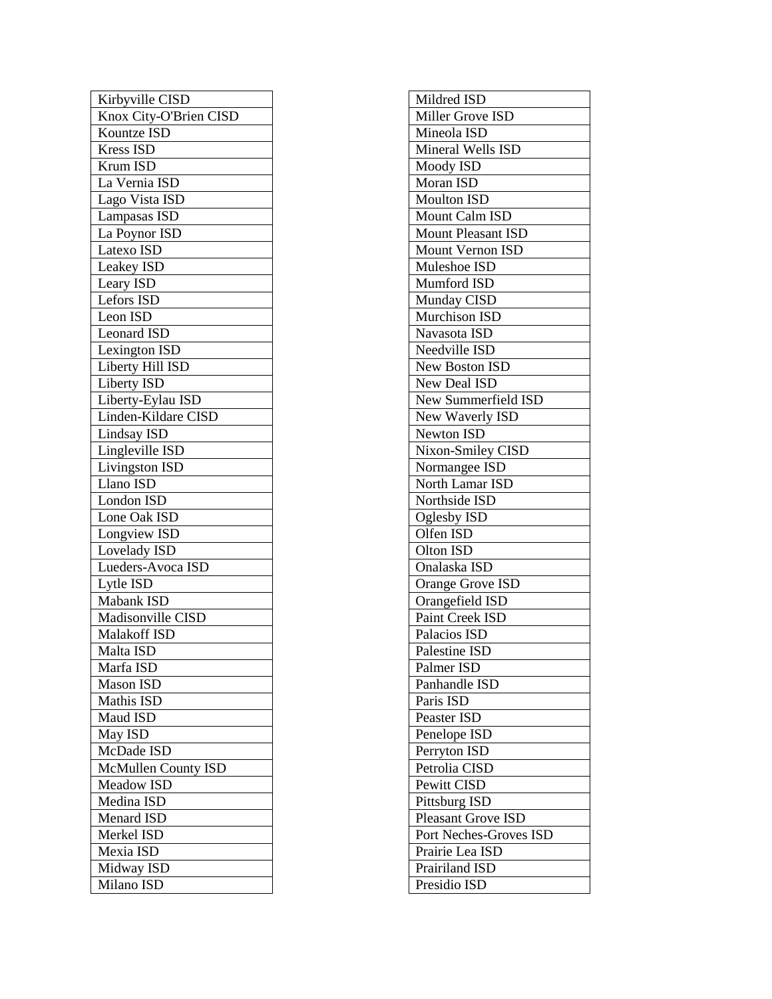| Kirbyville CISD        |
|------------------------|
| Knox City-O'Brien CISD |
| Kountze ISD            |
| Kress ISD              |
| Krum ISD               |
| La Vernia ISD          |
| Lago Vista ISD         |
| Lampasas ISD           |
| La Poynor ISD          |
| Latexo ISD             |
|                        |
| Leakey ISD             |
| Leary ISD              |
| Lefors ISD             |
| Leon ISD               |
| <b>Leonard ISD</b>     |
| Lexington ISD          |
| Liberty Hill ISD       |
| Liberty ISD            |
| Liberty-Eylau ISD      |
| Linden-Kildare CISD    |
| <b>Lindsay ISD</b>     |
| Lingleville ISD        |
| Livingston ISD         |
| Llano ISD              |
| <b>London ISD</b>      |
| Lone Oak ISD           |
| Longview ISD           |
| Lovelady ISD           |
| Lueders-Avoca ISD      |
| Lytle ISD              |
| <b>Mabank ISD</b>      |
| Madisonville CISD      |
| Malakoff ISD           |
| Malta ISD              |
| Marfa ISD              |
| <b>Mason ISD</b>       |
| <b>Mathis ISD</b>      |
| Maud ISD               |
|                        |
| May ISD                |
| McDade ISD             |
| McMullen County ISD    |
| Meadow ISD             |
| Medina ISD             |
| Menard ISD             |
| Merkel ISD             |
| Mexia ISD              |
| Midway ISD             |
| Milano ISD             |

| Mildred ISD               |
|---------------------------|
| Miller Grove ISD          |
| Mineola ISD               |
| Mineral Wells ISD         |
| Moody ISD                 |
| Moran ISD                 |
| <b>Moulton ISD</b>        |
| <b>Mount Calm ISD</b>     |
| <b>Mount Pleasant ISD</b> |
| Mount Vernon ISD          |
| Muleshoe ISD              |
| Mumford ISD               |
| Munday CISD               |
| <b>Murchison ISD</b>      |
| Navasota ISD              |
| Needville ISD             |
| New Boston ISD            |
| <b>New Deal ISD</b>       |
| New Summerfield ISD       |
| New Waverly ISD           |
| <b>Newton ISD</b>         |
| Nixon-Smiley CISD         |
| Normangee ISD             |
| North Lamar ISD           |
| Northside ISD             |
| <b>Oglesby ISD</b>        |
| Olfen ISD                 |
| Olton ISD                 |
| Onalaska ISD              |
| <b>Orange Grove ISD</b>   |
| Orangefield ISD           |
| <b>Paint Creek ISD</b>    |
| Palacios ISD              |
| Palestine ISD             |
| Palmer ISD                |
| Panhandle ISD             |
| Paris ISD                 |
| Peaster ISD               |
| Penelope ISD              |
| Perryton ISD              |
| Petrolia CISD             |
| Pewitt CISD               |
| Pittsburg ISD             |
| <b>Pleasant Grove ISD</b> |
| Port Neches-Groves ISD    |
| Prairie Lea ISD           |
| <b>Prairiland ISD</b>     |
| Presidio ISD              |
|                           |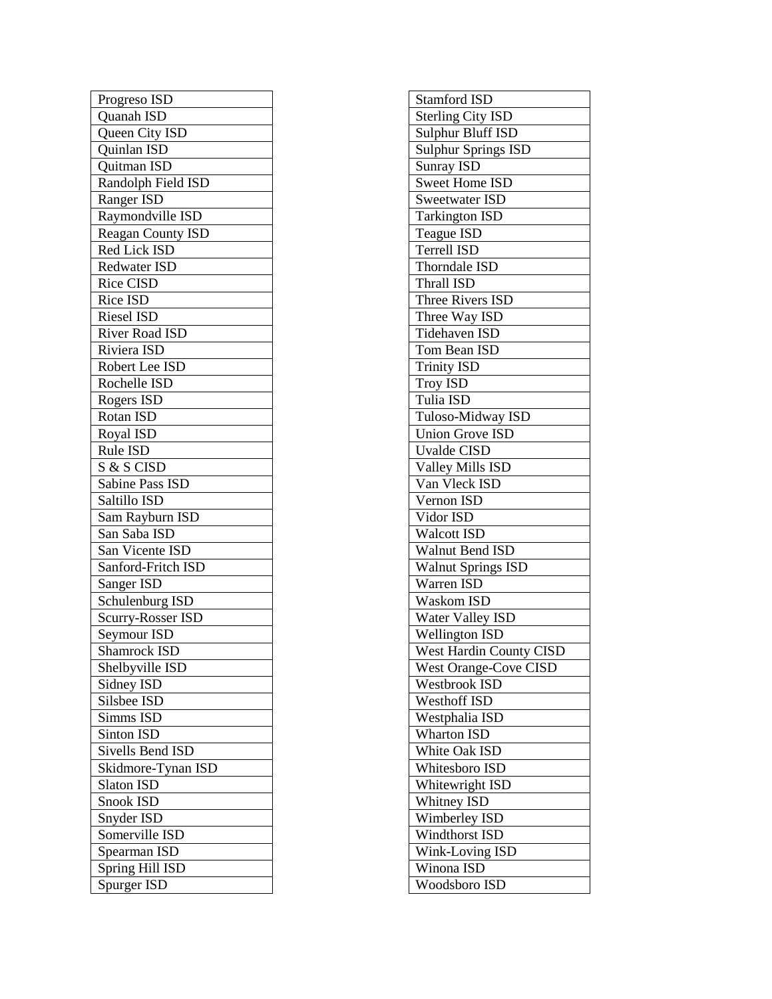| Progreso ISD          |
|-----------------------|
| Quanah ISD            |
| Queen City ISD        |
| Quinlan ISD           |
| Quitman ISD           |
| Randolph Field ISD    |
| Ranger ISD            |
| Raymondville ISD      |
| Reagan County ISD     |
| Red Lick ISD          |
| <b>Redwater ISD</b>   |
| <b>Rice CISD</b>      |
| Rice ISD              |
| <b>Riesel ISD</b>     |
| <b>River Road ISD</b> |
| Riviera ISD           |
| Robert Lee ISD        |
| Rochelle ISD          |
| Rogers ISD            |
| Rotan ISD             |
| Royal ISD             |
| Rule ISD              |
| S & S CISD            |
| Sabine Pass ISD       |
| Saltillo ISD          |
| Sam Rayburn ISD       |
| San Saba ISD          |
| San Vicente ISD       |
| Sanford-Fritch ISD    |
| Sanger ISD            |
| Schulenburg ISD       |
| Scurry-Rosser ISD     |
| Seymour ISD           |
| Shamrock ISD          |
| Shelbyville ISD       |
| Sidney ISD            |
| Silsbee ISD           |
| Simms ISD             |
| Sinton ISD            |
| Sivells Bend ISD      |
| Skidmore-Tynan ISD    |
| <b>Slaton ISD</b>     |
| Snook ISD             |
| Snyder ISD            |
| Somerville ISD        |
| Spearman ISD          |
| Spring Hill ISD       |
| Spurger ISD           |
|                       |

| <b>Stamford ISD</b>            |
|--------------------------------|
| <b>Sterling City ISD</b>       |
| Sulphur Bluff ISD              |
| Sulphur Springs ISD            |
| <b>Sunray ISD</b>              |
| Sweet Home ISD                 |
| <b>Sweetwater ISD</b>          |
| Tarkington ISD                 |
| Teague ISD                     |
| <b>Terrell ISD</b>             |
| Thorndale ISD                  |
| Thrall ISD                     |
| Three Rivers ISD               |
| Three Way ISD                  |
| <b>Tidehaven ISD</b>           |
| Tom Bean ISD                   |
| <b>Trinity ISD</b>             |
| <b>Troy ISD</b>                |
| Tulia ISD                      |
| Tuloso-Midway ISD              |
| <b>Union Grove ISD</b>         |
| Uvalde CISD                    |
| Valley Mills ISD               |
| Van Vleck ISD                  |
| Vernon ISD                     |
| Vidor ISD                      |
| Walcott ISD                    |
| Walnut Bend ISD                |
| <b>Walnut Springs ISD</b>      |
| Warren ISD                     |
| <b>Waskom ISD</b>              |
| Water Valley ISD               |
| <b>Wellington ISD</b>          |
| <b>West Hardin County CISD</b> |
| <b>West Orange-Cove CISD</b>   |
| Westbrook ISD                  |
| Westhoff ISD                   |
| Westphalia ISD                 |
| <b>Wharton ISD</b>             |
| White Oak ISD                  |
| Whitesboro ISD                 |
| Whitewright ISD                |
| <b>Whitney ISD</b>             |
| <b>Wimberley ISD</b>           |
| Windthorst ISD                 |
| Wink-Loving ISD                |
| Winona ISD                     |
| Woodsboro ISD                  |
|                                |